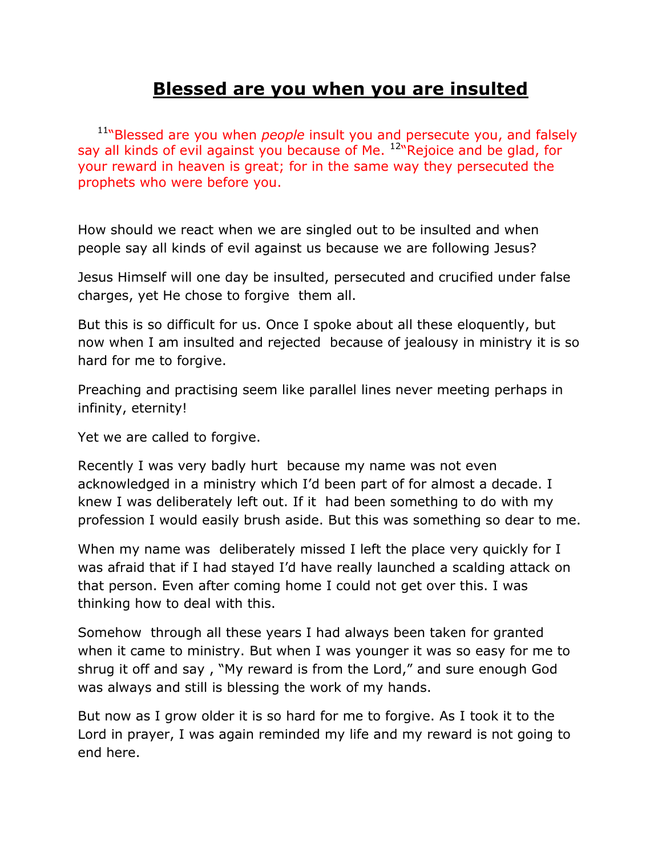## **Blessed are you when you are insulted**

<sup>11</sup>"Blessed are you when *people* insult you and persecute you, and falsely say all kinds of evil against you because of Me.  $12\pi$  Rejoice and be glad, for your reward in heaven is great; for in the same way they persecuted the prophets who were before you.

How should we react when we are singled out to be insulted and when people say all kinds of evil against us because we are following Jesus?

Jesus Himself will one day be insulted, persecuted and crucified under false charges, yet He chose to forgive them all.

But this is so difficult for us. Once I spoke about all these eloquently, but now when I am insulted and rejected because of jealousy in ministry it is so hard for me to forgive.

Preaching and practising seem like parallel lines never meeting perhaps in infinity, eternity!

Yet we are called to forgive.

Recently I was very badly hurt because my name was not even acknowledged in a ministry which I'd been part of for almost a decade. I knew I was deliberately left out. If it had been something to do with my profession I would easily brush aside. But this was something so dear to me.

When my name was deliberately missed I left the place very quickly for I was afraid that if I had stayed I'd have really launched a scalding attack on that person. Even after coming home I could not get over this. I was thinking how to deal with this.

Somehow through all these years I had always been taken for granted when it came to ministry. But when I was younger it was so easy for me to shrug it off and say , "My reward is from the Lord," and sure enough God was always and still is blessing the work of my hands.

But now as I grow older it is so hard for me to forgive. As I took it to the Lord in prayer, I was again reminded my life and my reward is not going to end here.